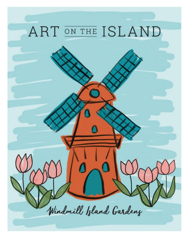